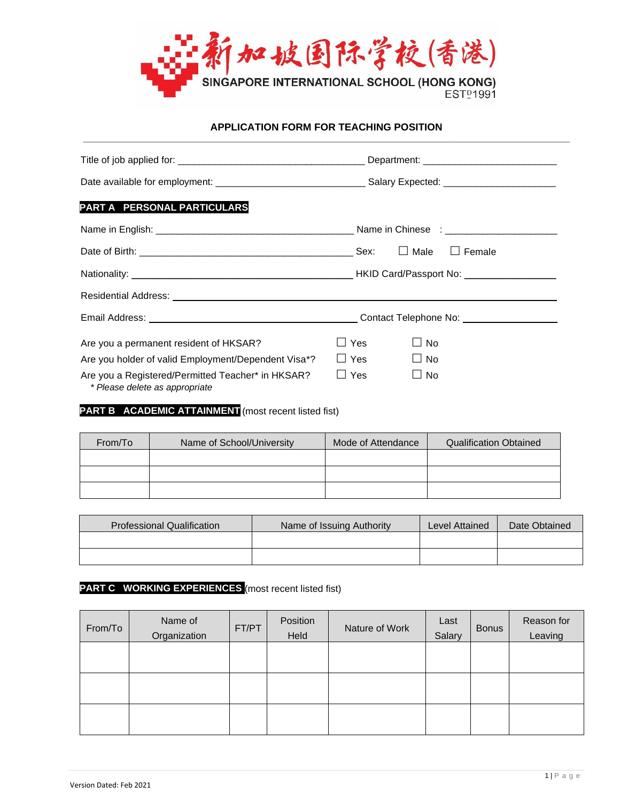

#### **APPLICATION FORM FOR TEACHING POSITION \_\_\_\_\_\_\_\_\_\_\_\_\_\_\_\_\_\_\_\_\_\_\_\_\_\_\_\_\_\_\_\_\_\_\_\_\_\_\_\_\_\_\_\_\_\_\_\_\_\_\_\_\_\_\_\_\_\_\_\_\_\_\_\_\_\_\_\_\_\_\_\_\_\_\_\_\_\_\_\_\_\_\_\_\_\_\_\_\_\_\_**

| PART A PERSONAL PARTICULARS                                                         |                         |  |
|-------------------------------------------------------------------------------------|-------------------------|--|
|                                                                                     |                         |  |
|                                                                                     |                         |  |
|                                                                                     |                         |  |
|                                                                                     |                         |  |
|                                                                                     |                         |  |
| Are you a permanent resident of HKSAR?                                              | ⊿ Yes<br>$\Box$ No      |  |
| Are you holder of valid Employment/Dependent Visa*?                                 | $\Box$ Yes<br>$\Box$ No |  |
| Are you a Registered/Permitted Teacher* in HKSAR?<br>* Please delete as appropriate | ∐ Yes<br>$\Box$ No      |  |

## **PART B ACADEMIC ATTAINMENT** (most recent listed fist)

| From/To | Name of School/University | Mode of Attendance | <b>Qualification Obtained</b> |
|---------|---------------------------|--------------------|-------------------------------|
|         |                           |                    |                               |
|         |                           |                    |                               |
|         |                           |                    |                               |

| <b>Professional Qualification</b> | Name of Issuing Authority | Level Attained | Date Obtained |
|-----------------------------------|---------------------------|----------------|---------------|
|                                   |                           |                |               |
|                                   |                           |                |               |

# **PART C WORKING EXPERIENCES** (most recent listed fist)

| From/To | Name of<br>Organization | FT/PT | Position<br>Held | Nature of Work | Last<br>Salary | <b>Bonus</b> | Reason for<br>Leaving |
|---------|-------------------------|-------|------------------|----------------|----------------|--------------|-----------------------|
|         |                         |       |                  |                |                |              |                       |
|         |                         |       |                  |                |                |              |                       |
|         |                         |       |                  |                |                |              |                       |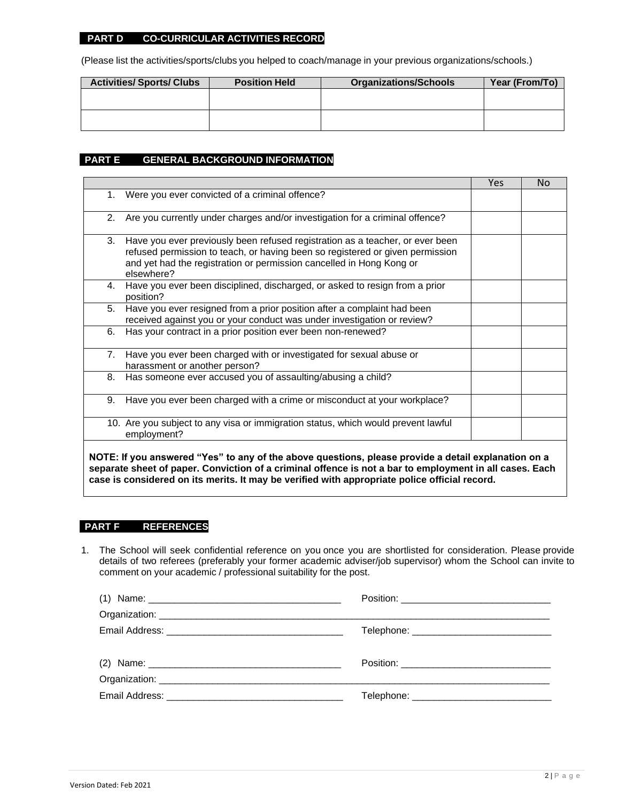#### **PART D CO-CURRICULAR ACTIVITIES RECORD**

(Please list the activities/sports/clubs you helped to coach/manage in your previous organizations/schools.)

| <b>Activities/Sports/Clubs</b> | <b>Position Held</b> | <b>Organizations/Schools</b> | Year (From/To) |
|--------------------------------|----------------------|------------------------------|----------------|
|                                |                      |                              |                |
|                                |                      |                              |                |
|                                |                      |                              |                |
|                                |                      |                              |                |

#### **PART E GENERAL BACKGROUND INFORMATION**

|                                                                                                                                                                                                                                                            | <b>Yes</b> | No. |
|------------------------------------------------------------------------------------------------------------------------------------------------------------------------------------------------------------------------------------------------------------|------------|-----|
| Were you ever convicted of a criminal offence?<br>1.                                                                                                                                                                                                       |            |     |
| Are you currently under charges and/or investigation for a criminal offence?<br>2.                                                                                                                                                                         |            |     |
| Have you ever previously been refused registration as a teacher, or ever been<br>3.<br>refused permission to teach, or having been so registered or given permission<br>and yet had the registration or permission cancelled in Hong Kong or<br>elsewhere? |            |     |
| Have you ever been disciplined, discharged, or asked to resign from a prior<br>4.<br>position?                                                                                                                                                             |            |     |
| Have you ever resigned from a prior position after a complaint had been<br>5.<br>received against you or your conduct was under investigation or review?                                                                                                   |            |     |
| Has your contract in a prior position ever been non-renewed?<br>6.                                                                                                                                                                                         |            |     |
| Have you ever been charged with or investigated for sexual abuse or<br>7.<br>harassment or another person?                                                                                                                                                 |            |     |
| Has someone ever accused you of assaulting/abusing a child?<br>8.                                                                                                                                                                                          |            |     |
| Have you ever been charged with a crime or misconduct at your workplace?<br>9.                                                                                                                                                                             |            |     |
| 10. Are you subject to any visa or immigration status, which would prevent lawful<br>employment?                                                                                                                                                           |            |     |
|                                                                                                                                                                                                                                                            |            |     |

**NOTE: If you answered "Yes" to any of the above questions, please provide a detail explanation on a separate sheet of paper. Conviction of a criminal offence is not a bar to employment in all cases. Each case is considered on its merits. It may be verified with appropriate police official record.**

#### **PART F REFERENCES**

1. The School will seek confidential reference on you once you are shortlisted for consideration. Please provide details of two referees (preferably your former academic adviser/job supervisor) whom the School can invite to comment on your academic / professional suitability for the post.

| Telephone: _______________________________ |
|--------------------------------------------|
|                                            |
|                                            |
|                                            |
|                                            |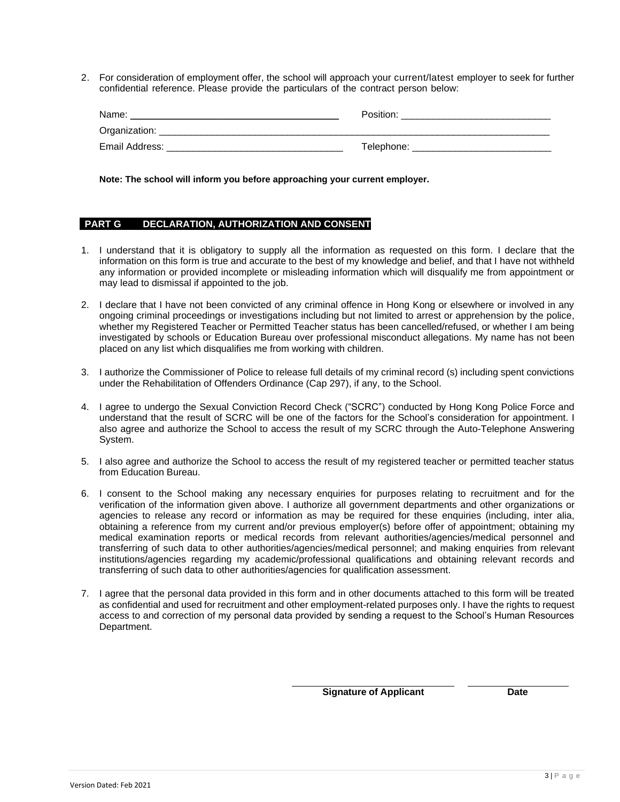2. For consideration of employment offer, the school will approach your current/latest employer to seek for further confidential reference. Please provide the particulars of the contract person below:

| Name:           | Position:  |
|-----------------|------------|
| Organization: _ |            |
| Email Address:  | Telephone: |

**Note: The school will inform you before approaching your current employer.**

#### **PART G DECLARATION, AUTHORIZATION AND CONSENT**

- 1. I understand that it is obligatory to supply all the information as requested on this form. I declare that the information on this form is true and accurate to the best of my knowledge and belief, and that I have not withheld any information or provided incomplete or misleading information which will disqualify me from appointment or may lead to dismissal if appointed to the job.
- 2. I declare that I have not been convicted of any criminal offence in Hong Kong or elsewhere or involved in any ongoing criminal proceedings or investigations including but not limited to arrest or apprehension by the police, whether my Registered Teacher or Permitted Teacher status has been cancelled/refused, or whether I am being investigated by schools or Education Bureau over professional misconduct allegations. My name has not been placed on any list which disqualifies me from working with children.
- 3. I authorize the Commissioner of Police to release full details of my criminal record (s) including spent convictions under the Rehabilitation of Offenders Ordinance (Cap 297), if any, to the School.
- 4. I agree to undergo the Sexual Conviction Record Check ("SCRC") conducted by Hong Kong Police Force and understand that the result of SCRC will be one of the factors for the School's consideration for appointment. I also agree and authorize the School to access the result of my SCRC through the Auto-Telephone Answering System.
- 5. I also agree and authorize the School to access the result of my registered teacher or permitted teacher status from Education Bureau.
- 6. I consent to the School making any necessary enquiries for purposes relating to recruitment and for the verification of the information given above. I authorize all government departments and other organizations or agencies to release any record or information as may be required for these enquiries (including, inter alia, obtaining a reference from my current and/or previous employer(s) before offer of appointment; obtaining my medical examination reports or medical records from relevant authorities/agencies/medical personnel and transferring of such data to other authorities/agencies/medical personnel; and making enquiries from relevant institutions/agencies regarding my academic/professional qualifications and obtaining relevant records and transferring of such data to other authorities/agencies for qualification assessment.
- 7. I agree that the personal data provided in this form and in other documents attached to this form will be treated as confidential and used for recruitment and other employment-related purposes only. I have the rights to request access to and correction of my personal data provided by sending a request to the School's Human Resources Department.

**Signature of Applicant Date**